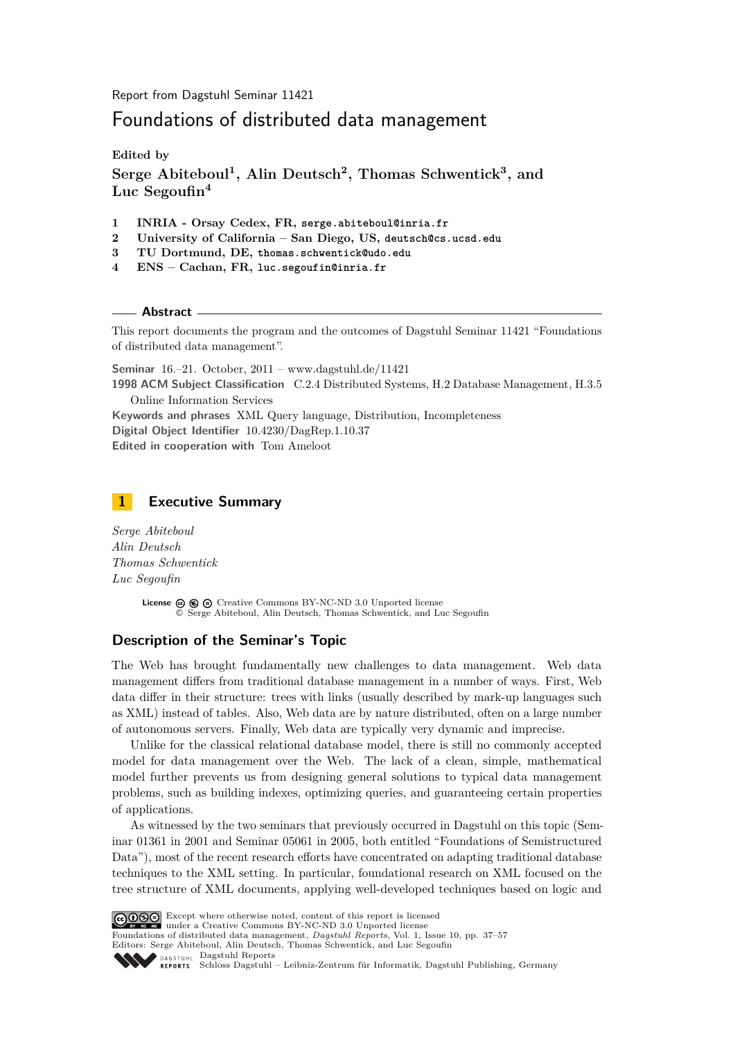Report from Dagstuhl Seminar 11421

# Foundations of distributed data management

**Edited by**

**Serge Abiteboul<sup>1</sup> , Alin Deutsch<sup>2</sup> , Thomas Schwentick<sup>3</sup> , and Luc Segoufin<sup>4</sup>**

- **1 INRIA Orsay Cedex, FR, serge.abiteboul@inria.fr**
- **2 University of California San Diego, US, deutsch@cs.ucsd.edu**
- **3 TU Dortmund, DE, thomas.schwentick@udo.edu**
- **4 ENS Cachan, FR, luc.segoufin@inria.fr**

**Abstract**

This report documents the program and the outcomes of Dagstuhl Seminar 11421 "Foundations of distributed data management".

**Seminar** 16.–21. October, 2011 – [www.dagstuhl.de/11421](http://www.dagstuhl.de/11421)

**1998 ACM Subject Classification** C.2.4 Distributed Systems, H.2 Database Management, H.3.5 Online Information Services

**Keywords and phrases** XML Query language, Distribution, Incompleteness **Digital Object Identifier** [10.4230/DagRep.1.10.37](http://dx.doi.org/10.4230/DagRep.1.10.37) **Edited in cooperation with** Tom Ameloot

# <span id="page-0-0"></span>**1 Executive Summary**

*Serge Abiteboul Alin Deutsch Thomas Schwentick Luc Segoufin*

> License  $\textcircled{e}$   $\textcircled{e}$   $\textcircled{e}$  [Creative Commons BY-NC-ND 3.0 Unported](http://creativecommons.org/licenses/by-nc-nd/3.0/) license © [Serge Abiteboul, Alin Deutsch, Thomas Schwentick, and Luc Segoufin](#page-0-0)

### **Description of the Seminar's Topic**

The Web has brought fundamentally new challenges to data management. Web data management differs from traditional database management in a number of ways. First, Web data differ in their structure: trees with links (usually described by mark-up languages such as XML) instead of tables. Also, Web data are by nature distributed, often on a large number of autonomous servers. Finally, Web data are typically very dynamic and imprecise.

Unlike for the classical relational database model, there is still no commonly accepted model for data management over the Web. The lack of a clean, simple, mathematical model further prevents us from designing general solutions to typical data management problems, such as building indexes, optimizing queries, and guaranteeing certain properties of applications.

As witnessed by the two seminars that previously occurred in Dagstuhl on this topic (Seminar [01361](http://www.dagstuhl.de/01361) in 2001 and Seminar [05061](http://www.dagstuhl.de/05061) in 2005, both entitled "Foundations of Semistructured Data"), most of the recent research efforts have concentrated on adapting traditional database techniques to the XML setting. In particular, foundational research on XML focused on the tree structure of XML documents, applying well-developed techniques based on logic and

Except where otherwise noted, content of this report is licensed under a [Creative Commons BY-NC-ND 3.0 Unported](http://creativecommons.org/licenses/by-nc-nd/3.0/) license Foundations of distributed data management, *Dagstuhl Reports*, Vol. 1, Issue 10, pp. 37[–57](#page-20-0) Editors: Serge Abiteboul, Alin Deutsch, Thomas Schwentick, and Luc Segoufin DAGSTUHL [Dagstuhl Reports](http://www.dagstuhl.de/dagstuhl-reports/)

[Schloss Dagstuhl – Leibniz-Zentrum für Informatik, Dagstuhl Publishing, Germany](http://www.dagstuhl.de)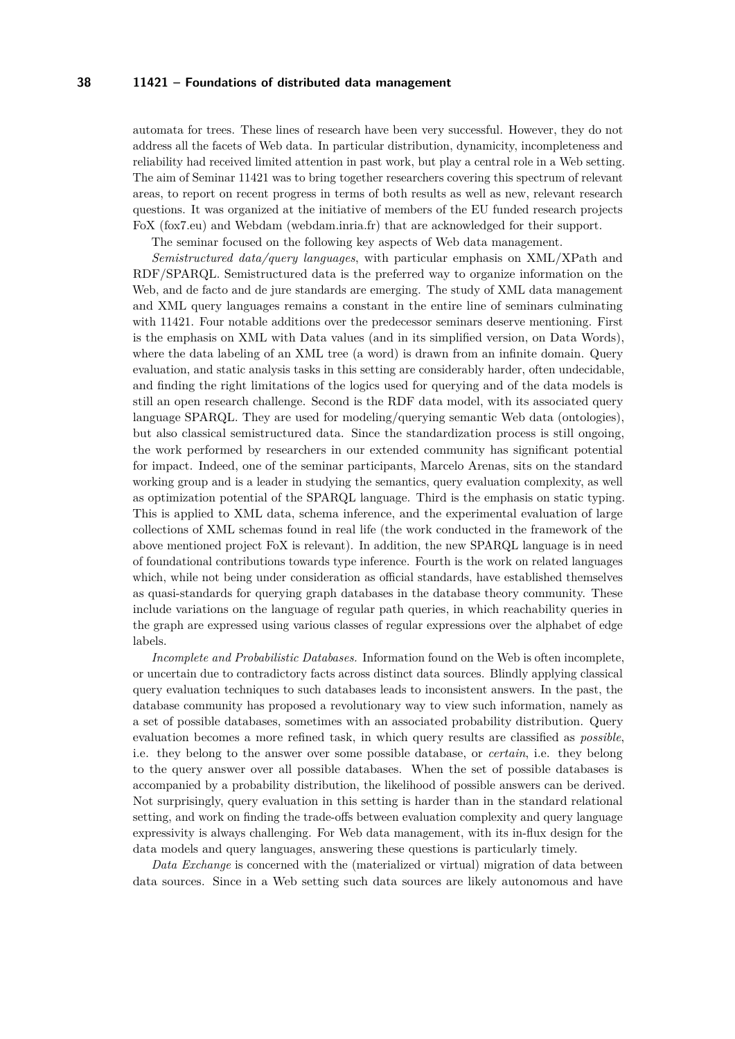automata for trees. These lines of research have been very successful. However, they do not address all the facets of Web data. In particular distribution, dynamicity, incompleteness and reliability had received limited attention in past work, but play a central role in a Web setting. The aim of Seminar 11421 was to bring together researchers covering this spectrum of relevant areas, to report on recent progress in terms of both results as well as new, relevant research questions. It was organized at the initiative of members of the EU funded research projects FoX [\(fox7.eu\)](http://fox7.eu) and Webdam [\(webdam.inria.fr\)](http://webdam.inria.fr) that are acknowledged for their support.

The seminar focused on the following key aspects of Web data management.

*Semistructured data/query languages*, with particular emphasis on XML/XPath and RDF/SPARQL. Semistructured data is the preferred way to organize information on the Web, and de facto and de jure standards are emerging. The study of XML data management and XML query languages remains a constant in the entire line of seminars culminating with 11421. Four notable additions over the predecessor seminars deserve mentioning. First is the emphasis on XML with Data values (and in its simplified version, on Data Words), where the data labeling of an XML tree (a word) is drawn from an infinite domain. Query evaluation, and static analysis tasks in this setting are considerably harder, often undecidable, and finding the right limitations of the logics used for querying and of the data models is still an open research challenge. Second is the RDF data model, with its associated query language SPARQL. They are used for modeling/querying semantic Web data (ontologies), but also classical semistructured data. Since the standardization process is still ongoing, the work performed by researchers in our extended community has significant potential for impact. Indeed, one of the seminar participants, Marcelo Arenas, sits on the standard working group and is a leader in studying the semantics, query evaluation complexity, as well as optimization potential of the SPARQL language. Third is the emphasis on static typing. This is applied to XML data, schema inference, and the experimental evaluation of large collections of XML schemas found in real life (the work conducted in the framework of the above mentioned project FoX is relevant). In addition, the new SPARQL language is in need of foundational contributions towards type inference. Fourth is the work on related languages which, while not being under consideration as official standards, have established themselves as quasi-standards for querying graph databases in the database theory community. These include variations on the language of regular path queries, in which reachability queries in the graph are expressed using various classes of regular expressions over the alphabet of edge labels.

*Incomplete and Probabilistic Databases.* Information found on the Web is often incomplete, or uncertain due to contradictory facts across distinct data sources. Blindly applying classical query evaluation techniques to such databases leads to inconsistent answers. In the past, the database community has proposed a revolutionary way to view such information, namely as a set of possible databases, sometimes with an associated probability distribution. Query evaluation becomes a more refined task, in which query results are classified as *possible*, i.e. they belong to the answer over some possible database, or *certain*, i.e. they belong to the query answer over all possible databases. When the set of possible databases is accompanied by a probability distribution, the likelihood of possible answers can be derived. Not surprisingly, query evaluation in this setting is harder than in the standard relational setting, and work on finding the trade-offs between evaluation complexity and query language expressivity is always challenging. For Web data management, with its in-flux design for the data models and query languages, answering these questions is particularly timely.

*Data Exchange* is concerned with the (materialized or virtual) migration of data between data sources. Since in a Web setting such data sources are likely autonomous and have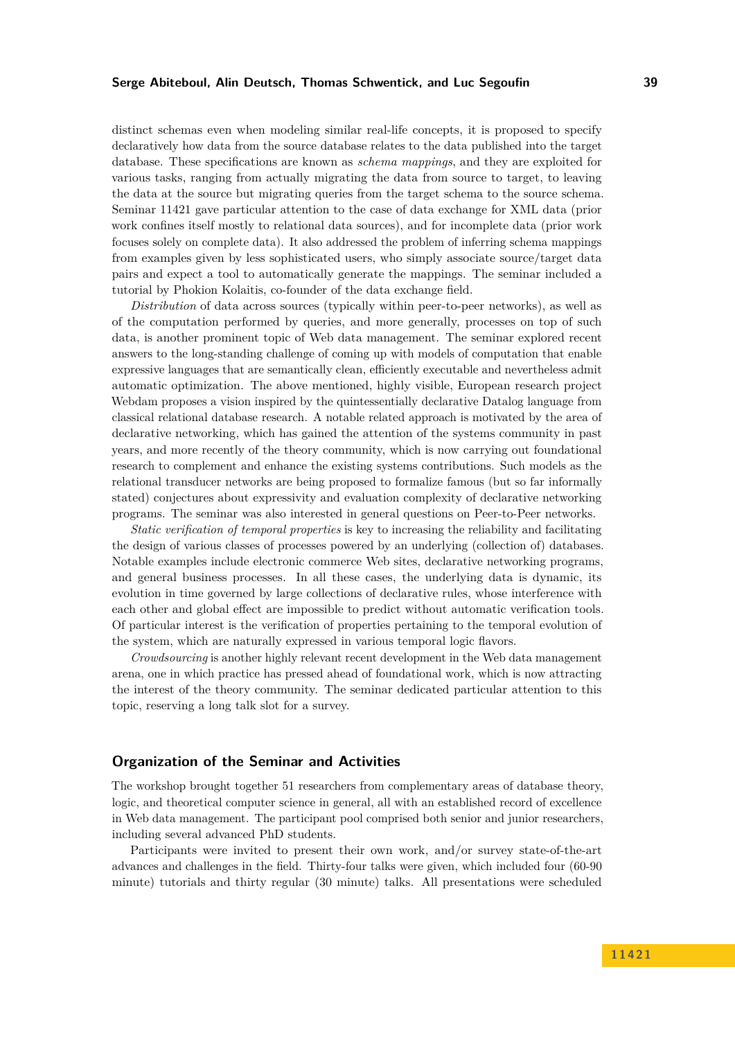### **Serge Abiteboul, Alin Deutsch, Thomas Schwentick, and Luc Segoufin 39**

distinct schemas even when modeling similar real-life concepts, it is proposed to specify declaratively how data from the source database relates to the data published into the target database. These specifications are known as *schema mappings*, and they are exploited for various tasks, ranging from actually migrating the data from source to target, to leaving the data at the source but migrating queries from the target schema to the source schema. Seminar 11421 gave particular attention to the case of data exchange for XML data (prior work confines itself mostly to relational data sources), and for incomplete data (prior work focuses solely on complete data). It also addressed the problem of inferring schema mappings from examples given by less sophisticated users, who simply associate source/target data pairs and expect a tool to automatically generate the mappings. The seminar included a tutorial by Phokion Kolaitis, co-founder of the data exchange field.

*Distribution* of data across sources (typically within peer-to-peer networks), as well as of the computation performed by queries, and more generally, processes on top of such data, is another prominent topic of Web data management. The seminar explored recent answers to the long-standing challenge of coming up with models of computation that enable expressive languages that are semantically clean, efficiently executable and nevertheless admit automatic optimization. The above mentioned, highly visible, European research project Webdam proposes a vision inspired by the quintessentially declarative Datalog language from classical relational database research. A notable related approach is motivated by the area of declarative networking, which has gained the attention of the systems community in past years, and more recently of the theory community, which is now carrying out foundational research to complement and enhance the existing systems contributions. Such models as the relational transducer networks are being proposed to formalize famous (but so far informally stated) conjectures about expressivity and evaluation complexity of declarative networking programs. The seminar was also interested in general questions on Peer-to-Peer networks.

*Static verification of temporal properties* is key to increasing the reliability and facilitating the design of various classes of processes powered by an underlying (collection of) databases. Notable examples include electronic commerce Web sites, declarative networking programs, and general business processes. In all these cases, the underlying data is dynamic, its evolution in time governed by large collections of declarative rules, whose interference with each other and global effect are impossible to predict without automatic verification tools. Of particular interest is the verification of properties pertaining to the temporal evolution of the system, which are naturally expressed in various temporal logic flavors.

*Crowdsourcing* is another highly relevant recent development in the Web data management arena, one in which practice has pressed ahead of foundational work, which is now attracting the interest of the theory community. The seminar dedicated particular attention to this topic, reserving a long talk slot for a survey.

### **Organization of the Seminar and Activities**

The workshop brought together 51 researchers from complementary areas of database theory, logic, and theoretical computer science in general, all with an established record of excellence in Web data management. The participant pool comprised both senior and junior researchers, including several advanced PhD students.

Participants were invited to present their own work, and/or survey state-of-the-art advances and challenges in the field. Thirty-four talks were given, which included four (60-90 minute) tutorials and thirty regular (30 minute) talks. All presentations were scheduled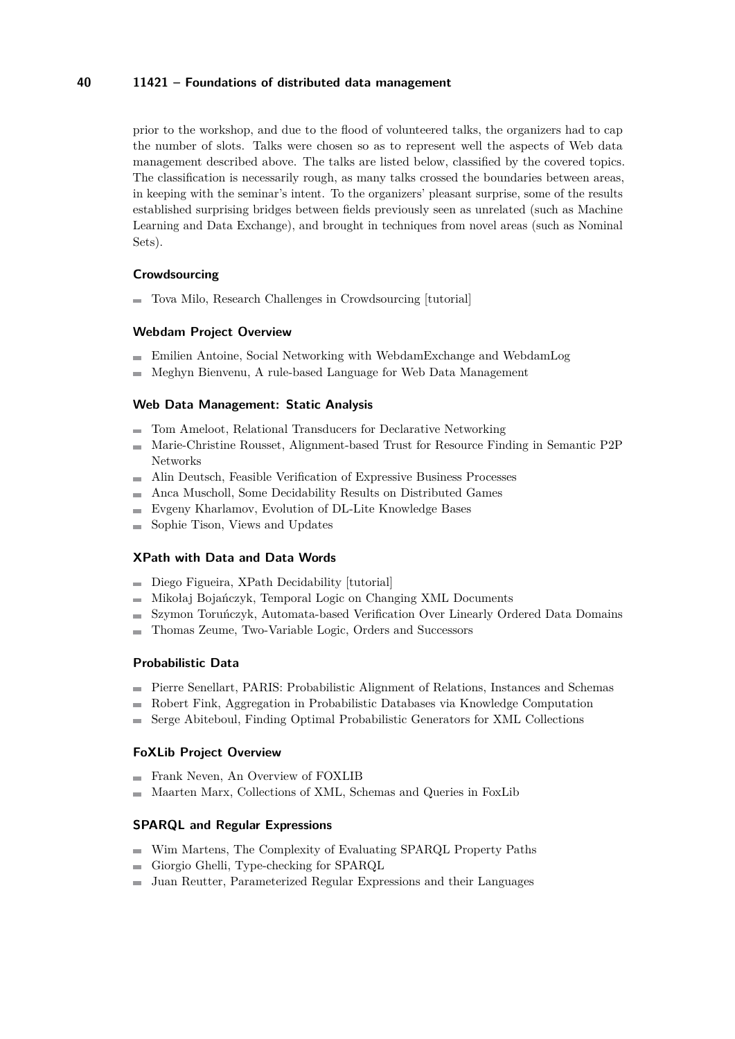prior to the workshop, and due to the flood of volunteered talks, the organizers had to cap the number of slots. Talks were chosen so as to represent well the aspects of Web data management described above. The talks are listed below, classified by the covered topics. The classification is necessarily rough, as many talks crossed the boundaries between areas, in keeping with the seminar's intent. To the organizers' pleasant surprise, some of the results established surprising bridges between fields previously seen as unrelated (such as Machine Learning and Data Exchange), and brought in techniques from novel areas (such as Nominal Sets).

### **Crowdsourcing**

Tova Milo, Research Challenges in Crowdsourcing [tutorial]

### **Webdam Project Overview**

- Emilien Antoine, Social Networking with WebdamExchange and WebdamLog
- Meghyn Bienvenu, A rule-based Language for Web Data Management

### **Web Data Management: Static Analysis**

- Tom Ameloot, Relational Transducers for Declarative Networking
- Marie-Christine Rousset, Alignment-based Trust for Resource Finding in Semantic P2P  $\mathcal{L}_{\mathcal{A}}$ Networks
- Alin Deutsch, Feasible Verification of Expressive Business Processes
- Anca Muscholl, Some Decidability Results on Distributed Games
- Evgeny Kharlamov, Evolution of DL-Lite Knowledge Bases
- Sophie Tison, Views and Updates

### **XPath with Data and Data Words**

- Diego Figueira, XPath Decidability [tutorial]
- $\blacksquare$ Mikołaj Bojańczyk, Temporal Logic on Changing XML Documents
- Szymon Toruńczyk, Automata-based Verification Over Linearly Ordered Data Domains
- Thomas Zeume, Two-Variable Logic, Orders and Successors

### **Probabilistic Data**

- Pierre Senellart, PARIS: Probabilistic Alignment of Relations, Instances and Schemas
- Robert Fink, Aggregation in Probabilistic Databases via Knowledge Computation  $\equiv$
- Serge Abiteboul, Finding Optimal Probabilistic Generators for XML Collections

#### **FoXLib Project Overview**

- Frank Neven, An Overview of FOXLIB
- ÷. Maarten Marx, Collections of XML, Schemas and Queries in FoxLib

#### **SPARQL and Regular Expressions**

- Wim Martens, The Complexity of Evaluating SPARQL Property Paths
- Giorgio Ghelli, Type-checking for SPARQL  $\sim$
- Juan Reutter, Parameterized Regular Expressions and their Languages $\blacksquare$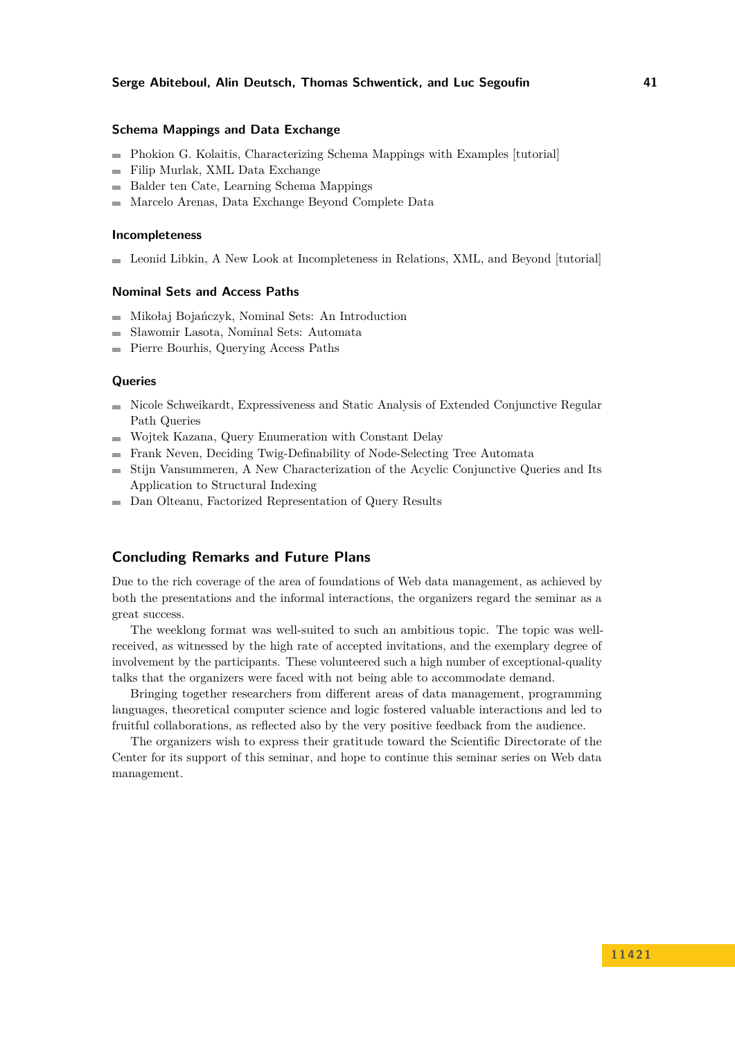#### **Schema Mappings and Data Exchange**

- Phokion G. Kolaitis, Characterizing Schema Mappings with Examples [tutorial]
- Filip Murlak, XML Data Exchange
- Balder ten Cate, Learning Schema Mappings  $\equiv$
- Marcelo Arenas, Data Exchange Beyond Complete Data  $\overline{a}$

### **Incompleteness**

Leonid Libkin, A New Look at Incompleteness in Relations, XML, and Beyond [tutorial]

### **Nominal Sets and Access Paths**

- Mikołaj Bojańczyk, Nominal Sets: An Introduction
- Sławomir Lasota, Nominal Sets: Automata m.
- Pierre Bourhis, Querying Access Paths

#### **Queries**

- Nicole Schweikardt, Expressiveness and Static Analysis of Extended Conjunctive Regular Path Queries
- Wojtek Kazana, Query Enumeration with Constant Delay
- Frank Neven, Deciding Twig-Definability of Node-Selecting Tree Automata
- Stijn Vansummeren, A New Characterization of the Acyclic Conjunctive Queries and Its Application to Structural Indexing
- Dan Olteanu, Factorized Representation of Query Results

### **Concluding Remarks and Future Plans**

Due to the rich coverage of the area of foundations of Web data management, as achieved by both the presentations and the informal interactions, the organizers regard the seminar as a great success.

The weeklong format was well-suited to such an ambitious topic. The topic was wellreceived, as witnessed by the high rate of accepted invitations, and the exemplary degree of involvement by the participants. These volunteered such a high number of exceptional-quality talks that the organizers were faced with not being able to accommodate demand.

Bringing together researchers from different areas of data management, programming languages, theoretical computer science and logic fostered valuable interactions and led to fruitful collaborations, as reflected also by the very positive feedback from the audience.

The organizers wish to express their gratitude toward the Scientific Directorate of the Center for its support of this seminar, and hope to continue this seminar series on Web data management.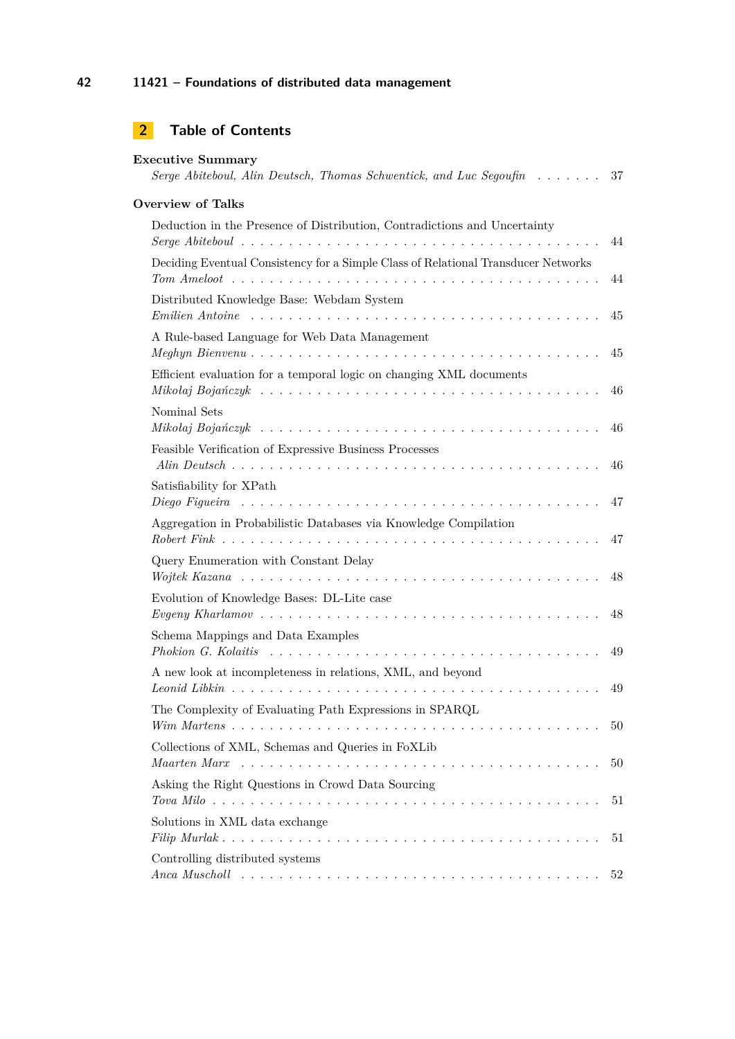# **2 Table of Contents**

| <b>Executive Summary</b><br>Serge Abiteboul, Alin Deutsch, Thomas Schwentick, and Luc Segoufin                                                                                                      | 37       |
|-----------------------------------------------------------------------------------------------------------------------------------------------------------------------------------------------------|----------|
| <b>Overview of Talks</b>                                                                                                                                                                            |          |
| Deduction in the Presence of Distribution, Contradictions and Uncertainty<br>Deciding Eventual Consistency for a Simple Class of Relational Transducer Networks                                     | 44<br>44 |
| Distributed Knowledge Base: Webdam System                                                                                                                                                           | 45       |
| A Rule-based Language for Web Data Management                                                                                                                                                       | 45       |
| Efficient evaluation for a temporal logic on changing XML documents                                                                                                                                 | 46       |
| Nominal Sets                                                                                                                                                                                        | 46       |
| Feasible Verification of Expressive Business Processes                                                                                                                                              | 46       |
| Satisfiability for XPath                                                                                                                                                                            | 47       |
| Aggregation in Probabilistic Databases via Knowledge Compilation                                                                                                                                    | 47       |
| Query Enumeration with Constant Delay                                                                                                                                                               | 48       |
| Evolution of Knowledge Bases: DL-Lite case                                                                                                                                                          | 48       |
| Schema Mappings and Data Examples                                                                                                                                                                   | 49       |
| A new look at incompleteness in relations, XML, and beyond                                                                                                                                          | 49       |
| The Complexity of Evaluating Path Expressions in SPARQL                                                                                                                                             | 50       |
| Collections of XML, Schemas and Queries in FoXLib<br>$\emph{Max}$ $\emph{Hax}$ $\ldots$ $\ldots$ $\ldots$ $\ldots$ $\ldots$ $\ldots$ $\ldots$ $\ldots$ $\ldots$ $\ldots$ $\ldots$ $\ldots$ $\ldots$ | 50       |
| Asking the Right Questions in Crowd Data Sourcing                                                                                                                                                   | 51       |
| Solutions in XML data exchange                                                                                                                                                                      | 51       |
| Controlling distributed systems<br>Anca Muscholl $\ldots \ldots \ldots \ldots \ldots \ldots \ldots \ldots \ldots \ldots \ldots \ldots \ldots 52$                                                    |          |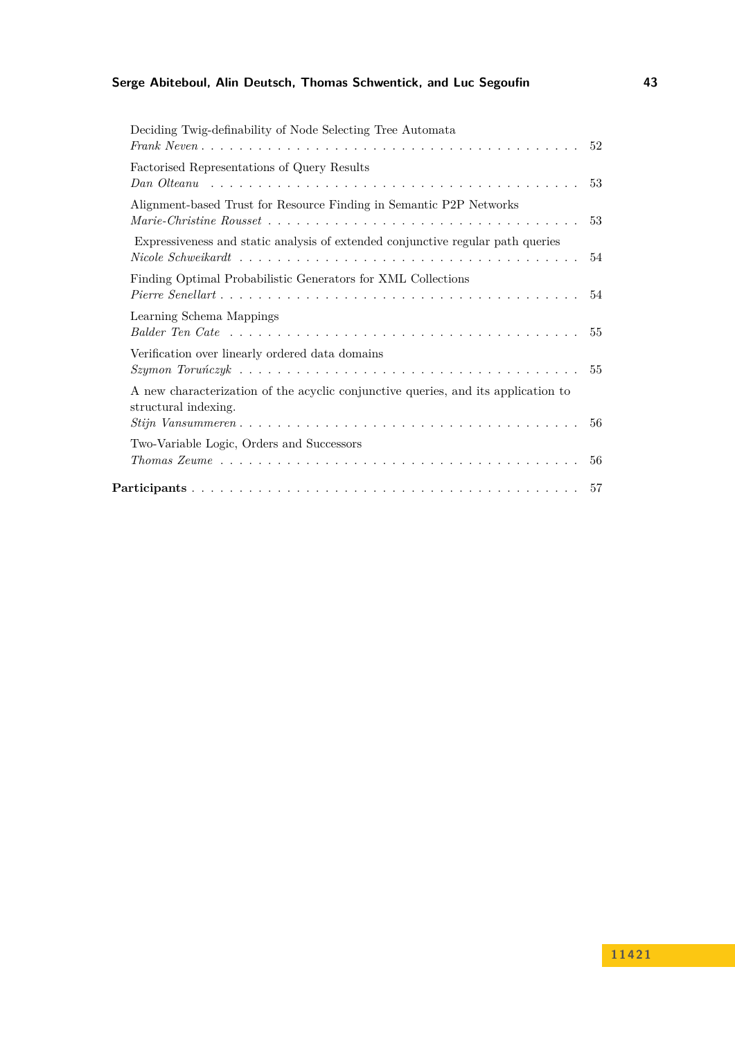# **Serge Abiteboul, Alin Deutsch, Thomas Schwentick, and Luc Segoufin 43**

| Deciding Twig-definability of Node Selecting Tree Automata                                                |     |
|-----------------------------------------------------------------------------------------------------------|-----|
| Factorised Representations of Query Results                                                               |     |
| Alignment-based Trust for Resource Finding in Semantic P2P Networks                                       | 53  |
| Expressiveness and static analysis of extended conjunctive regular path queries                           |     |
| Finding Optimal Probabilistic Generators for XML Collections                                              |     |
| Learning Schema Mappings                                                                                  |     |
| Verification over linearly ordered data domains                                                           |     |
| A new characterization of the acyclic conjunctive queries, and its application to<br>structural indexing. |     |
| Two-Variable Logic, Orders and Successors                                                                 | -56 |
|                                                                                                           |     |
|                                                                                                           |     |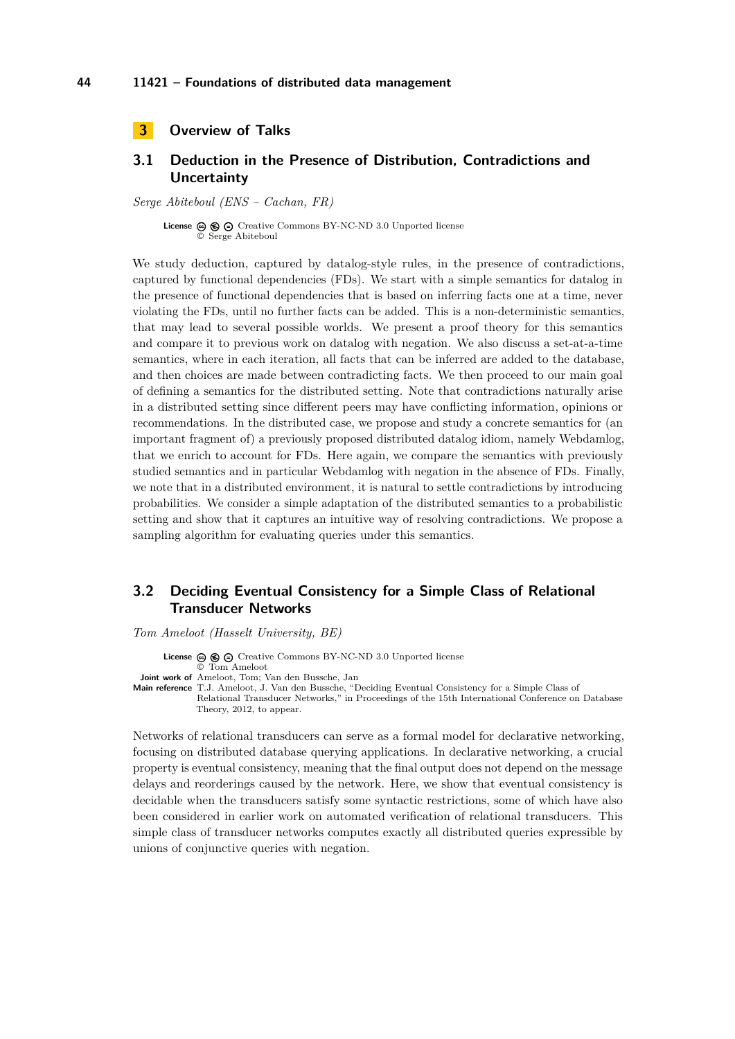### <span id="page-7-0"></span>**3 Overview of Talks**

## <span id="page-7-1"></span>**3.1 Deduction in the Presence of Distribution, Contradictions and Uncertainty**

*Serge Abiteboul (ENS – Cachan, FR)*

License  $\circledcirc$   $\circledcirc$  [Creative Commons BY-NC-ND 3.0 Unported](http://creativecommons.org/licenses/by-nc-nd/3.0/) license © [Serge Abiteboul](#page-7-1)

We study deduction, captured by datalog-style rules, in the presence of contradictions, captured by functional dependencies (FDs). We start with a simple semantics for datalog in the presence of functional dependencies that is based on inferring facts one at a time, never violating the FDs, until no further facts can be added. This is a non-deterministic semantics, that may lead to several possible worlds. We present a proof theory for this semantics and compare it to previous work on datalog with negation. We also discuss a set-at-a-time semantics, where in each iteration, all facts that can be inferred are added to the database, and then choices are made between contradicting facts. We then proceed to our main goal of defining a semantics for the distributed setting. Note that contradictions naturally arise in a distributed setting since different peers may have conflicting information, opinions or recommendations. In the distributed case, we propose and study a concrete semantics for (an important fragment of) a previously proposed distributed datalog idiom, namely Webdamlog, that we enrich to account for FDs. Here again, we compare the semantics with previously studied semantics and in particular Webdamlog with negation in the absence of FDs. Finally, we note that in a distributed environment, it is natural to settle contradictions by introducing probabilities. We consider a simple adaptation of the distributed semantics to a probabilistic setting and show that it captures an intuitive way of resolving contradictions. We propose a sampling algorithm for evaluating queries under this semantics.

## <span id="page-7-2"></span>**3.2 Deciding Eventual Consistency for a Simple Class of Relational Transducer Networks**

*Tom Ameloot (Hasselt University, BE)*

**License**  $\textcircled{e}$   $\textcircled{e}$   $\textcircled{e}$  [Creative Commons BY-NC-ND 3.0 Unported](http://creativecommons.org/licenses/by-nc-nd/3.0/) license © [Tom Ameloot](#page-7-2) **Joint work of** Ameloot, Tom; Van den Bussche, Jan **Main reference** [T.J. Ameloot, J. Van den Bussche, "Deciding Eventual Consistency for a Simple Class of](T.J. Ameloot, J. Van den Bussche, ``Deciding Eventual Consistency for a Simple Class of Relational Transducer Networks,) [Relational Transducer Networks," in Proceedings of the 15th International Conference on Database](T.J. Ameloot, J. Van den Bussche, ``Deciding Eventual Consistency for a Simple Class of Relational Transducer Networks,) [Theory, 2012, to appear.](T.J. Ameloot, J. Van den Bussche, ``Deciding Eventual Consistency for a Simple Class of Relational Transducer Networks,)

Networks of relational transducers can serve as a formal model for declarative networking, focusing on distributed database querying applications. In declarative networking, a crucial property is eventual consistency, meaning that the final output does not depend on the message delays and reorderings caused by the network. Here, we show that eventual consistency is decidable when the transducers satisfy some syntactic restrictions, some of which have also been considered in earlier work on automated verification of relational transducers. This simple class of transducer networks computes exactly all distributed queries expressible by unions of conjunctive queries with negation.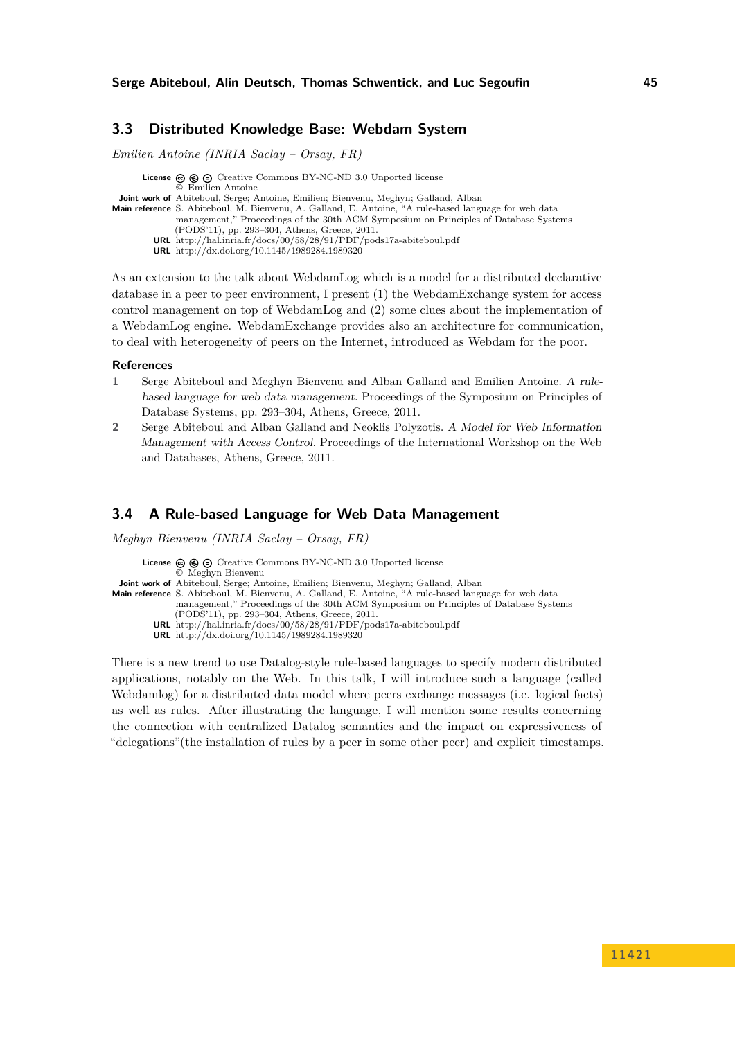### <span id="page-8-0"></span>**3.3 Distributed Knowledge Base: Webdam System**

*Emilien Antoine (INRIA Saclay – Orsay, FR)*

**License**  $\textcircled{e}$   $\textcircled{e}$   $\textcircled{e}$  [Creative Commons BY-NC-ND 3.0 Unported](http://creativecommons.org/licenses/by-nc-nd/3.0/) license © [Emilien Antoine](#page-8-0) **Joint work of** Abiteboul, Serge; Antoine, Emilien; Bienvenu, Meghyn; Galland, Alban **Main reference** [S. Abiteboul, M. Bienvenu, A. Galland, E. Antoine, "A rule-based language for web data](http://hal.inria.fr/docs/00/58/28/91/PDF/pods17a-abiteboul.pdf) [management," Proceedings of the 30th ACM Symposium on Principles of Database Systems](http://hal.inria.fr/docs/00/58/28/91/PDF/pods17a-abiteboul.pdf) [\(PODS'11\), pp. 293–304, Athens, Greece, 2011.](http://hal.inria.fr/docs/00/58/28/91/PDF/pods17a-abiteboul.pdf) **URL** <http://hal.inria.fr/docs/00/58/28/91/PDF/pods17a-abiteboul.pdf>

**URL** <http://dx.doi.org/10.1145/1989284.1989320>

As an extension to the talk about WebdamLog which is a model for a distributed declarative database in a peer to peer environment, I present (1) the WebdamExchange system for access control management on top of WebdamLog and (2) some clues about the implementation of a WebdamLog engine. WebdamExchange provides also an architecture for communication, to deal with heterogeneity of peers on the Internet, introduced as Webdam for the poor.

#### **References**

- **1** Serge Abiteboul and Meghyn Bienvenu and Alban Galland and Emilien Antoine. A rulebased language for web data management. Proceedings of the Symposium on Principles of Database Systems, pp. 293–304, Athens, Greece, 2011.
- **2** Serge Abiteboul and Alban Galland and Neoklis Polyzotis. A Model for Web Information Management with Access Control. Proceedings of the International Workshop on the Web and Databases, Athens, Greece, 2011.

#### <span id="page-8-1"></span>**3.4 A Rule-based Language for Web Data Management**

*Meghyn Bienvenu (INRIA Saclay – Orsay, FR)*

- **License**  $\circledast$   $\circledast$   $\circledast$  [Creative Commons BY-NC-ND 3.0 Unported](http://creativecommons.org/licenses/by-nc-nd/3.0/) license
	- © [Meghyn Bienvenu](#page-8-1)
- **Joint work of** Abiteboul, Serge; Antoine, Emilien; Bienvenu, Meghyn; Galland, Alban
- **Main reference** [S. Abiteboul, M. Bienvenu, A. Galland, E. Antoine, "A rule-based language for web data](http://hal.inria.fr/docs/00/58/28/91/PDF/pods17a-abiteboul.pdf)
	- [management," Proceedings of the 30th ACM Symposium on Principles of Database Systems](http://hal.inria.fr/docs/00/58/28/91/PDF/pods17a-abiteboul.pdf)
		- [\(PODS'11\), pp. 293–304, Athens, Greece, 2011.](http://hal.inria.fr/docs/00/58/28/91/PDF/pods17a-abiteboul.pdf)
	- **URL** <http://hal.inria.fr/docs/00/58/28/91/PDF/pods17a-abiteboul.pdf> **URL** <http://dx.doi.org/10.1145/1989284.1989320>

There is a new trend to use Datalog-style rule-based languages to specify modern distributed applications, notably on the Web. In this talk, I will introduce such a language (called Webdamlog) for a distributed data model where peers exchange messages (i.e. logical facts) as well as rules. After illustrating the language, I will mention some results concerning the connection with centralized Datalog semantics and the impact on expressiveness of "delegations"(the installation of rules by a peer in some other peer) and explicit timestamps.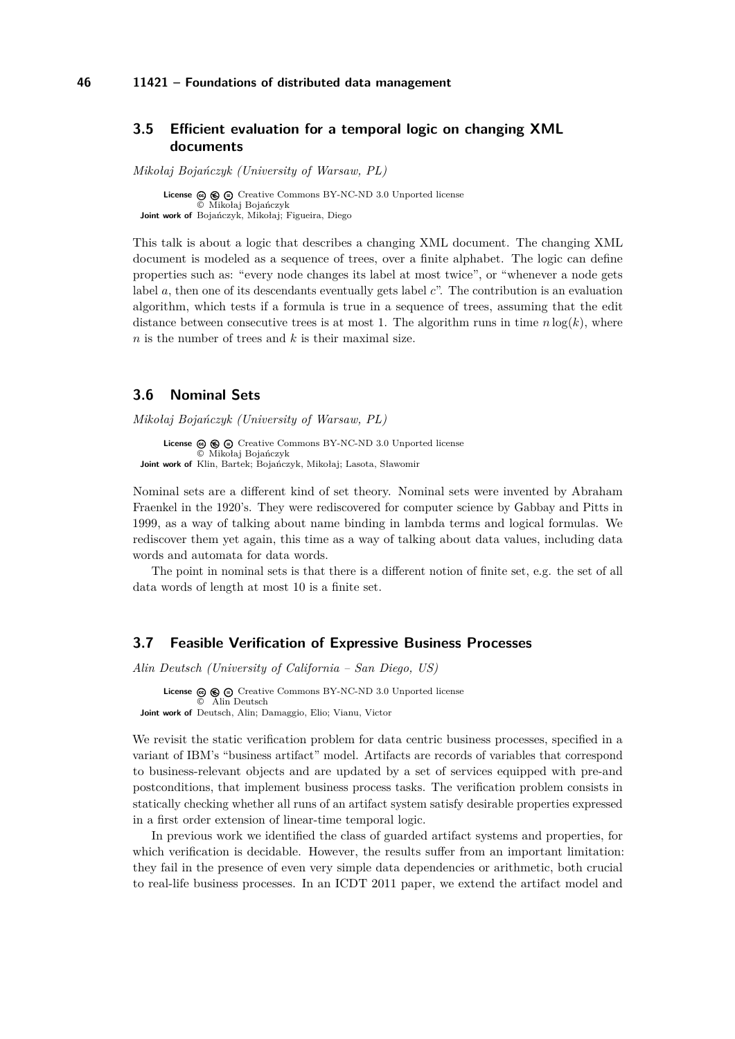### <span id="page-9-0"></span>**3.5 Efficient evaluation for a temporal logic on changing XML documents**

*Mikołaj Bojańczyk (University of Warsaw, PL)*

License  $\circledcirc$   $\circledcirc$   $\circ$  [Creative Commons BY-NC-ND 3.0 Unported](http://creativecommons.org/licenses/by-nc-nd/3.0/) license © [Mikołaj Bojańczyk](#page-9-0) **Joint work of** Bojańczyk, Mikołaj; Figueira, Diego

This talk is about a logic that describes a changing XML document. The changing XML document is modeled as a sequence of trees, over a finite alphabet. The logic can define properties such as: "every node changes its label at most twice", or "whenever a node gets label *a*, then one of its descendants eventually gets label *c*". The contribution is an evaluation algorithm, which tests if a formula is true in a sequence of trees, assuming that the edit distance between consecutive trees is at most 1. The algorithm runs in time  $n \log(k)$ , where *n* is the number of trees and *k* is their maximal size.

### <span id="page-9-1"></span>**3.6 Nominal Sets**

*Mikołaj Bojańczyk (University of Warsaw, PL)*

```
License \textcircled{e} \textcircled{e} \textcircled{e}Creative Commons BY-NC-ND 3.0 Unported license
                © Mikołaj Bojańczyk
Joint work of Klin, Bartek; Bojańczyk, Mikołaj; Lasota, Sławomir
```
Nominal sets are a different kind of set theory. Nominal sets were invented by Abraham Fraenkel in the 1920's. They were rediscovered for computer science by Gabbay and Pitts in 1999, as a way of talking about name binding in lambda terms and logical formulas. We rediscover them yet again, this time as a way of talking about data values, including data words and automata for data words.

The point in nominal sets is that there is a different notion of finite set, e.g. the set of all data words of length at most 10 is a finite set.

#### <span id="page-9-2"></span>**3.7 Feasible Verification of Expressive Business Processes**

*Alin Deutsch (University of California – San Diego, US)*

**License**  $\textcircled{\tiny{\textcircled{\tiny{\textcirc}}}}$   $\textcircled{\tiny{\textcircled{\tiny{\textcirc}}}}$  [Creative Commons BY-NC-ND 3.0 Unported](http://creativecommons.org/licenses/by-nc-nd/3.0/) license © [Alin Deutsch](#page-9-2) **Joint work of** Deutsch, Alin; Damaggio, Elio; Vianu, Victor

We revisit the static verification problem for data centric business processes, specified in a variant of IBM's "business artifact" model. Artifacts are records of variables that correspond to business-relevant objects and are updated by a set of services equipped with pre-and postconditions, that implement business process tasks. The verification problem consists in statically checking whether all runs of an artifact system satisfy desirable properties expressed in a first order extension of linear-time temporal logic.

In previous work we identified the class of guarded artifact systems and properties, for which verification is decidable. However, the results suffer from an important limitation: they fail in the presence of even very simple data dependencies or arithmetic, both crucial to real-life business processes. In an ICDT 2011 paper, we extend the artifact model and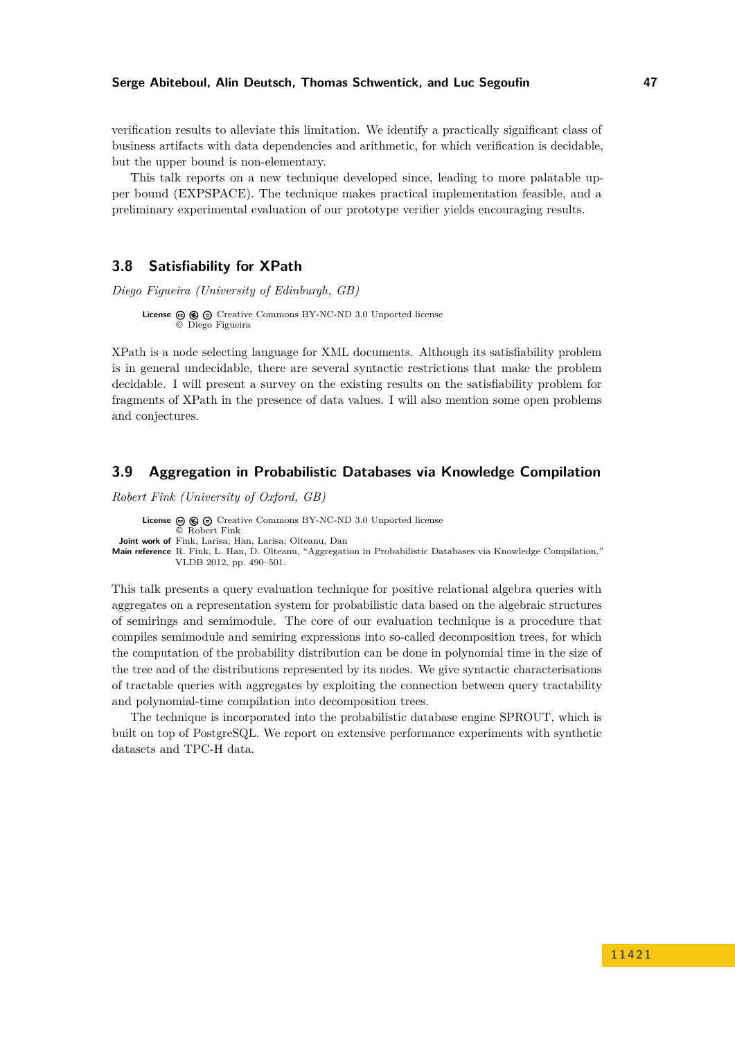#### **Serge Abiteboul, Alin Deutsch, Thomas Schwentick, and Luc Segoufin 47**

verification results to alleviate this limitation. We identify a practically significant class of business artifacts with data dependencies and arithmetic, for which verification is decidable, but the upper bound is non-elementary.

This talk reports on a new technique developed since, leading to more palatable upper bound (EXPSPACE). The technique makes practical implementation feasible, and a preliminary experimental evaluation of our prototype verifier yields encouraging results.

### <span id="page-10-0"></span>**3.8 Satisfiability for XPath**

*Diego Figueira (University of Edinburgh, GB)*

**License**  $\textcircled{e}$   $\textcircled{e}$   $\textcircled{e}$  [Creative Commons BY-NC-ND 3.0 Unported](http://creativecommons.org/licenses/by-nc-nd/3.0/) license © [Diego Figueira](#page-10-0)

XPath is a node selecting language for XML documents. Although its satisfiability problem is in general undecidable, there are several syntactic restrictions that make the problem decidable. I will present a survey on the existing results on the satisfiability problem for fragments of XPath in the presence of data values. I will also mention some open problems and conjectures.

### <span id="page-10-1"></span>**3.9 Aggregation in Probabilistic Databases via Knowledge Compilation**

*Robert Fink (University of Oxford, GB)*

License  $\circledcirc \circledcirc \circ$  [Creative Commons BY-NC-ND 3.0 Unported](http://creativecommons.org/licenses/by-nc-nd/3.0/) license © [Robert Fink](#page-10-1) **Joint work of** Fink, Larisa; Han, Larisa; Olteanu, Dan **Main reference** [R. Fink, L. Han, D. Olteanu, "Aggregation in Probabilistic Databases via Knowledge Compilation,"](R.\ Fink, L.\ Han, D.\ Olteanu, ``Aggregation in Probabilistic Databases via Knowledge Compilation,) [VLDB 2012, pp. 490–501.](R.\ Fink, L.\ Han, D.\ Olteanu, ``Aggregation in Probabilistic Databases via Knowledge Compilation,)

This talk presents a query evaluation technique for positive relational algebra queries with aggregates on a representation system for probabilistic data based on the algebraic structures of semirings and semimodule. The core of our evaluation technique is a procedure that compiles semimodule and semiring expressions into so-called decomposition trees, for which the computation of the probability distribution can be done in polynomial time in the size of the tree and of the distributions represented by its nodes. We give syntactic characterisations of tractable queries with aggregates by exploiting the connection between query tractability and polynomial-time compilation into decomposition trees.

The technique is incorporated into the probabilistic database engine SPROUT, which is built on top of PostgreSQL. We report on extensive performance experiments with synthetic datasets and TPC-H data.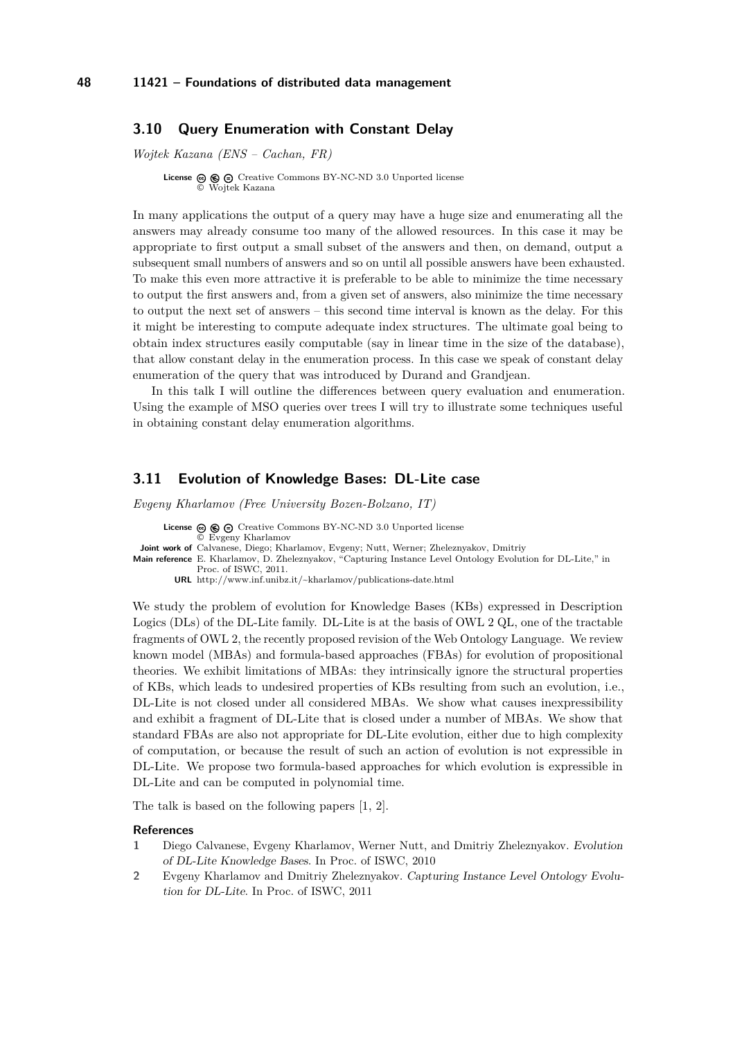### <span id="page-11-0"></span>**3.10 Query Enumeration with Constant Delay**

*Wojtek Kazana (ENS – Cachan, FR)*

**License**  $\textcircled{e}$   $\textcircled{e}$   $\textcircled{f}$  [Creative Commons BY-NC-ND 3.0 Unported](http://creativecommons.org/licenses/by-nc-nd/3.0/) license © [Wojtek Kazana](#page-11-0)

In many applications the output of a query may have a huge size and enumerating all the answers may already consume too many of the allowed resources. In this case it may be appropriate to first output a small subset of the answers and then, on demand, output a subsequent small numbers of answers and so on until all possible answers have been exhausted. To make this even more attractive it is preferable to be able to minimize the time necessary to output the first answers and, from a given set of answers, also minimize the time necessary to output the next set of answers – this second time interval is known as the delay. For this it might be interesting to compute adequate index structures. The ultimate goal being to obtain index structures easily computable (say in linear time in the size of the database), that allow constant delay in the enumeration process. In this case we speak of constant delay enumeration of the query that was introduced by Durand and Grandjean.

In this talk I will outline the differences between query evaluation and enumeration. Using the example of MSO queries over trees I will try to illustrate some techniques useful in obtaining constant delay enumeration algorithms.

### <span id="page-11-1"></span>**3.11 Evolution of Knowledge Bases: DL-Lite case**

*Evgeny Kharlamov (Free University Bozen-Bolzano, IT)*

**License** [Creative Commons BY-NC-ND 3.0 Unported](http://creativecommons.org/licenses/by-nc-nd/3.0/) license © [Evgeny Kharlamov](#page-11-1) **Joint work of** Calvanese, Diego; Kharlamov, Evgeny; Nutt, Werner; Zheleznyakov, Dmitriy **Main reference** [E. Kharlamov, D. Zheleznyakov, "Capturing Instance Level Ontology Evolution for DL-Lite," in](http://www.inf.unibz.it/~kharlamov/publications-date.html) [Proc. of ISWC, 2011.](http://www.inf.unibz.it/~kharlamov/publications-date.html) **URL** <http://www.inf.unibz.it/~kharlamov/publications-date.html>

We study the problem of evolution for Knowledge Bases (KBs) expressed in Description Logics (DLs) of the DL-Lite family. DL-Lite is at the basis of OWL 2 QL, one of the tractable fragments of OWL 2, the recently proposed revision of the Web Ontology Language. We review known model (MBAs) and formula-based approaches (FBAs) for evolution of propositional theories. We exhibit limitations of MBAs: they intrinsically ignore the structural properties of KBs, which leads to undesired properties of KBs resulting from such an evolution, i.e., DL-Lite is not closed under all considered MBAs. We show what causes inexpressibility and exhibit a fragment of DL-Lite that is closed under a number of MBAs. We show that standard FBAs are also not appropriate for DL-Lite evolution, either due to high complexity of computation, or because the result of such an action of evolution is not expressible in DL-Lite. We propose two formula-based approaches for which evolution is expressible in DL-Lite and can be computed in polynomial time.

The talk is based on the following papers [\[1,](#page-11-2) [2\]](#page-11-3).

#### **References**

- <span id="page-11-2"></span>**1** Diego Calvanese, Evgeny Kharlamov, Werner Nutt, and Dmitriy Zheleznyakov. Evolution of DL-Lite Knowledge Bases. In Proc. of ISWC, 2010
- <span id="page-11-3"></span>**2** Evgeny Kharlamov and Dmitriy Zheleznyakov. Capturing Instance Level Ontology Evolution for DL-Lite. In Proc. of ISWC, 2011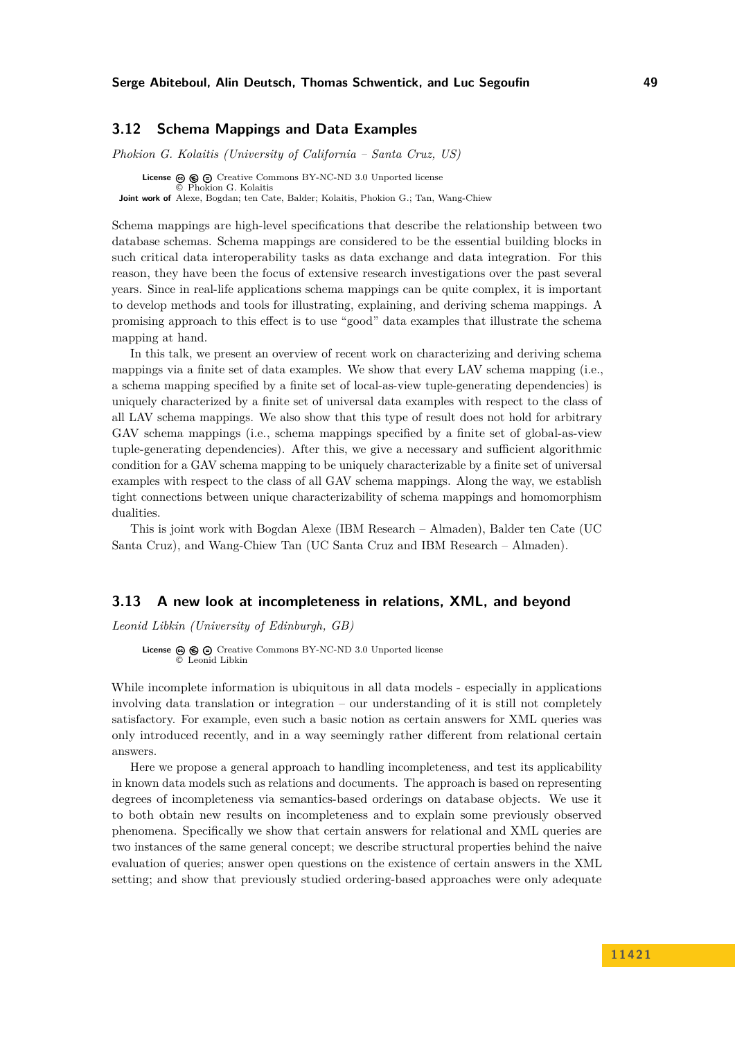### <span id="page-12-0"></span>**3.12 Schema Mappings and Data Examples**

*Phokion G. Kolaitis (University of California – Santa Cruz, US)*

**License**  $\textcircled{e}$   $\textcircled{e}$   $\textcircled{e}$  [Creative Commons BY-NC-ND 3.0 Unported](http://creativecommons.org/licenses/by-nc-nd/3.0/) license © [Phokion G. Kolaitis](#page-12-0) **Joint work of** Alexe, Bogdan; ten Cate, Balder; Kolaitis, Phokion G.; Tan, Wang-Chiew

Schema mappings are high-level specifications that describe the relationship between two database schemas. Schema mappings are considered to be the essential building blocks in such critical data interoperability tasks as data exchange and data integration. For this reason, they have been the focus of extensive research investigations over the past several years. Since in real-life applications schema mappings can be quite complex, it is important to develop methods and tools for illustrating, explaining, and deriving schema mappings. A promising approach to this effect is to use "good" data examples that illustrate the schema mapping at hand.

In this talk, we present an overview of recent work on characterizing and deriving schema mappings via a finite set of data examples. We show that every LAV schema mapping (i.e., a schema mapping specified by a finite set of local-as-view tuple-generating dependencies) is uniquely characterized by a finite set of universal data examples with respect to the class of all LAV schema mappings. We also show that this type of result does not hold for arbitrary GAV schema mappings (i.e., schema mappings specified by a finite set of global-as-view tuple-generating dependencies). After this, we give a necessary and sufficient algorithmic condition for a GAV schema mapping to be uniquely characterizable by a finite set of universal examples with respect to the class of all GAV schema mappings. Along the way, we establish tight connections between unique characterizability of schema mappings and homomorphism dualities.

This is joint work with Bogdan Alexe (IBM Research – Almaden), Balder ten Cate (UC Santa Cruz), and Wang-Chiew Tan (UC Santa Cruz and IBM Research – Almaden).

#### <span id="page-12-1"></span>**3.13 A new look at incompleteness in relations, XML, and beyond**

*Leonid Libkin (University of Edinburgh, GB)*

License  $\circledcirc \circledcirc \circ$  [Creative Commons BY-NC-ND 3.0 Unported](http://creativecommons.org/licenses/by-nc-nd/3.0/) license © [Leonid Libkin](#page-12-1)

While incomplete information is ubiquitous in all data models - especially in applications involving data translation or integration – our understanding of it is still not completely satisfactory. For example, even such a basic notion as certain answers for XML queries was only introduced recently, and in a way seemingly rather different from relational certain answers.

Here we propose a general approach to handling incompleteness, and test its applicability in known data models such as relations and documents. The approach is based on representing degrees of incompleteness via semantics-based orderings on database objects. We use it to both obtain new results on incompleteness and to explain some previously observed phenomena. Specifically we show that certain answers for relational and XML queries are two instances of the same general concept; we describe structural properties behind the naive evaluation of queries; answer open questions on the existence of certain answers in the XML setting; and show that previously studied ordering-based approaches were only adequate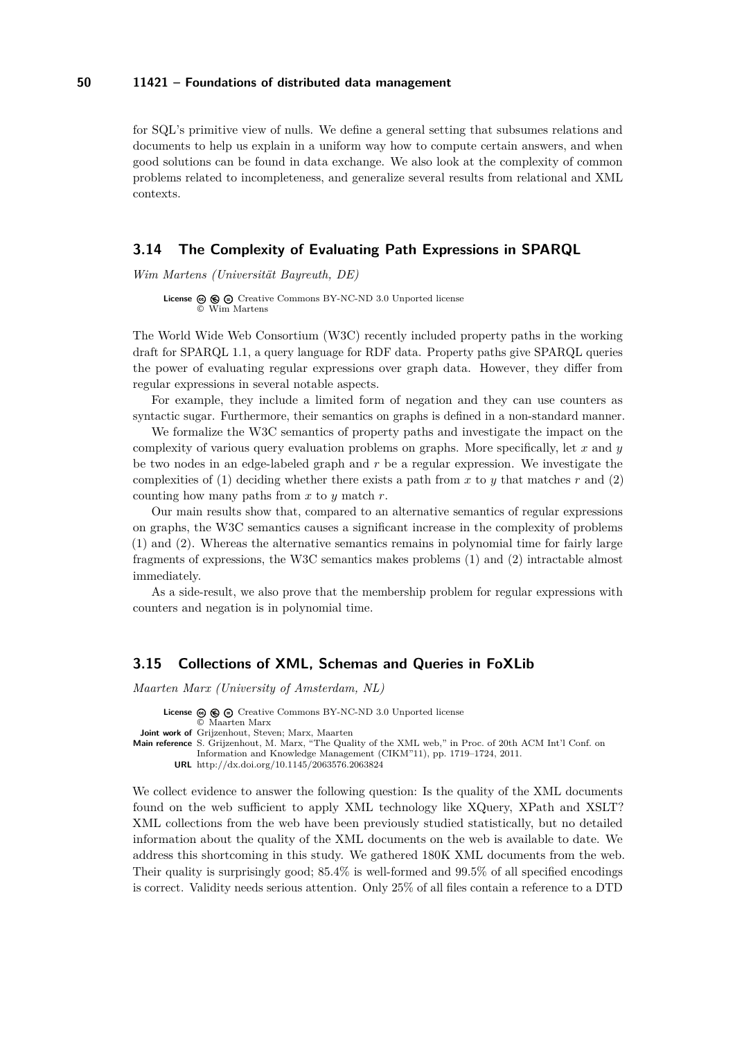for SQL's primitive view of nulls. We define a general setting that subsumes relations and documents to help us explain in a uniform way how to compute certain answers, and when good solutions can be found in data exchange. We also look at the complexity of common problems related to incompleteness, and generalize several results from relational and XML contexts.

### <span id="page-13-0"></span>**3.14 The Complexity of Evaluating Path Expressions in SPARQL**

*Wim Martens (Universität Bayreuth, DE)*

**License**  $\circledcirc$   $\circledcirc$   $\circlearrowright$  [Creative Commons BY-NC-ND 3.0 Unported](http://creativecommons.org/licenses/by-nc-nd/3.0/) license © [Wim Martens](#page-13-0)

The World Wide Web Consortium (W3C) recently included property paths in the working draft for SPARQL 1.1, a query language for RDF data. Property paths give SPARQL queries the power of evaluating regular expressions over graph data. However, they differ from regular expressions in several notable aspects.

For example, they include a limited form of negation and they can use counters as syntactic sugar. Furthermore, their semantics on graphs is defined in a non-standard manner.

We formalize the W3C semantics of property paths and investigate the impact on the complexity of various query evaluation problems on graphs. More specifically, let *x* and *y* be two nodes in an edge-labeled graph and *r* be a regular expression. We investigate the complexities of (1) deciding whether there exists a path from  $x$  to  $y$  that matches  $r$  and (2) counting how many paths from *x* to *y* match *r*.

Our main results show that, compared to an alternative semantics of regular expressions on graphs, the W3C semantics causes a significant increase in the complexity of problems (1) and (2). Whereas the alternative semantics remains in polynomial time for fairly large fragments of expressions, the W3C semantics makes problems (1) and (2) intractable almost immediately.

As a side-result, we also prove that the membership problem for regular expressions with counters and negation is in polynomial time.

### <span id="page-13-1"></span>**3.15 Collections of XML, Schemas and Queries in FoXLib**

*Maarten Marx (University of Amsterdam, NL)*

**License ⓒ <b>⑥ ⓒ** [Creative Commons BY-NC-ND 3.0 Unported](http://creativecommons.org/licenses/by-nc-nd/3.0/) license © [Maarten Marx](#page-13-1) **Joint work of** Grijzenhout, Steven; Marx, Maarten **Main reference** [S. Grijzenhout, M. Marx, "The Quality of the XML web," in Proc. of 20th ACM Int'l Conf. on](http://dx.doi.org/10.1145/2063576.2063824) [Information and Knowledge Management \(CIKM"11\), pp. 1719–1724, 2011.](http://dx.doi.org/10.1145/2063576.2063824) **URL** <http://dx.doi.org/10.1145/2063576.2063824>

We collect evidence to answer the following question: Is the quality of the XML documents found on the web sufficient to apply XML technology like XQuery, XPath and XSLT? XML collections from the web have been previously studied statistically, but no detailed information about the quality of the XML documents on the web is available to date. We address this shortcoming in this study. We gathered 180K XML documents from the web. Their quality is surprisingly good; 85.4% is well-formed and 99.5% of all specified encodings is correct. Validity needs serious attention. Only 25% of all files contain a reference to a DTD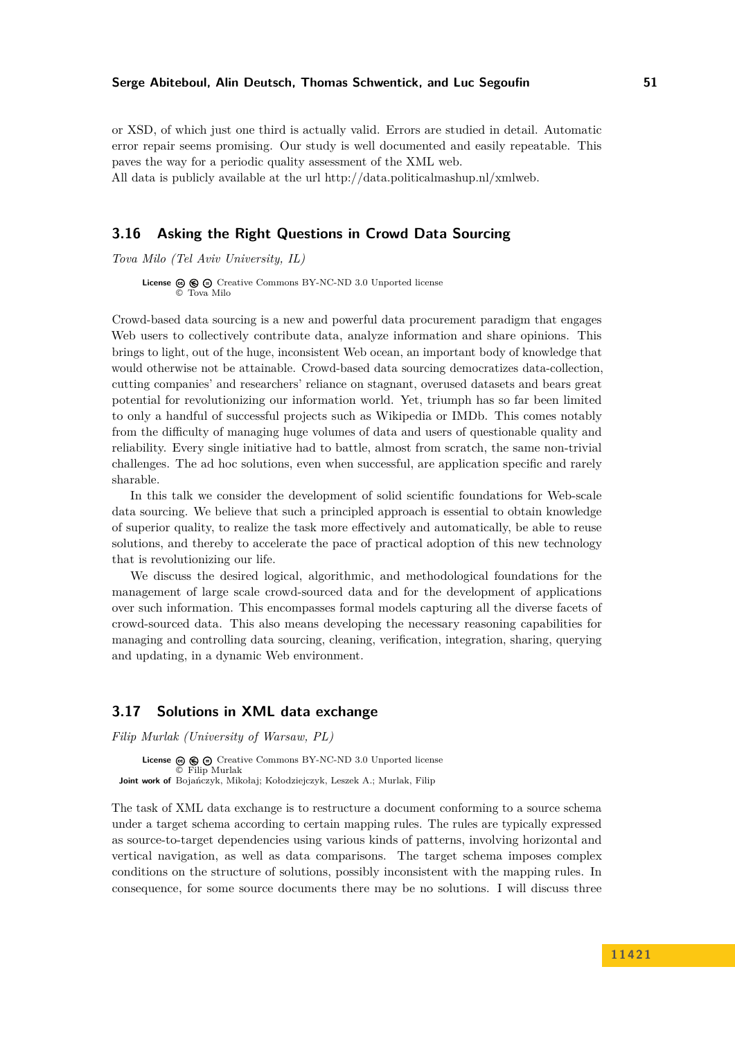or XSD, of which just one third is actually valid. Errors are studied in detail. Automatic error repair seems promising. Our study is well documented and easily repeatable. This paves the way for a periodic quality assessment of the XML web.

All data is publicly available at the url [http://data.politicalmashup.nl/xmlweb.](http://data.politicalmashup.nl/xmlweb)

### <span id="page-14-0"></span>**3.16 Asking the Right Questions in Crowd Data Sourcing**

*Tova Milo (Tel Aviv University, IL)*

**License**  $\textcircled{e}$   $\textcircled{e}$   $\textcircled{e}$  [Creative Commons BY-NC-ND 3.0 Unported](http://creativecommons.org/licenses/by-nc-nd/3.0/) license © [Tova Milo](#page-14-0)

Crowd-based data sourcing is a new and powerful data procurement paradigm that engages Web users to collectively contribute data, analyze information and share opinions. This brings to light, out of the huge, inconsistent Web ocean, an important body of knowledge that would otherwise not be attainable. Crowd-based data sourcing democratizes data-collection, cutting companies' and researchers' reliance on stagnant, overused datasets and bears great potential for revolutionizing our information world. Yet, triumph has so far been limited to only a handful of successful projects such as Wikipedia or IMDb. This comes notably from the difficulty of managing huge volumes of data and users of questionable quality and reliability. Every single initiative had to battle, almost from scratch, the same non-trivial challenges. The ad hoc solutions, even when successful, are application specific and rarely sharable.

In this talk we consider the development of solid scientific foundations for Web-scale data sourcing. We believe that such a principled approach is essential to obtain knowledge of superior quality, to realize the task more effectively and automatically, be able to reuse solutions, and thereby to accelerate the pace of practical adoption of this new technology that is revolutionizing our life.

We discuss the desired logical, algorithmic, and methodological foundations for the management of large scale crowd-sourced data and for the development of applications over such information. This encompasses formal models capturing all the diverse facets of crowd-sourced data. This also means developing the necessary reasoning capabilities for managing and controlling data sourcing, cleaning, verification, integration, sharing, querying and updating, in a dynamic Web environment.

### <span id="page-14-1"></span>**3.17 Solutions in XML data exchange**

*Filip Murlak (University of Warsaw, PL)*

License  $\circledcirc \circledcirc \circ$  [Creative Commons BY-NC-ND 3.0 Unported](http://creativecommons.org/licenses/by-nc-nd/3.0/) license © [Filip Murlak](#page-14-1) **Joint work of** Bojańczyk, Mikołaj; Kołodziejczyk, Leszek A.; Murlak, Filip

The task of XML data exchange is to restructure a document conforming to a source schema under a target schema according to certain mapping rules. The rules are typically expressed as source-to-target dependencies using various kinds of patterns, involving horizontal and vertical navigation, as well as data comparisons. The target schema imposes complex conditions on the structure of solutions, possibly inconsistent with the mapping rules. In consequence, for some source documents there may be no solutions. I will discuss three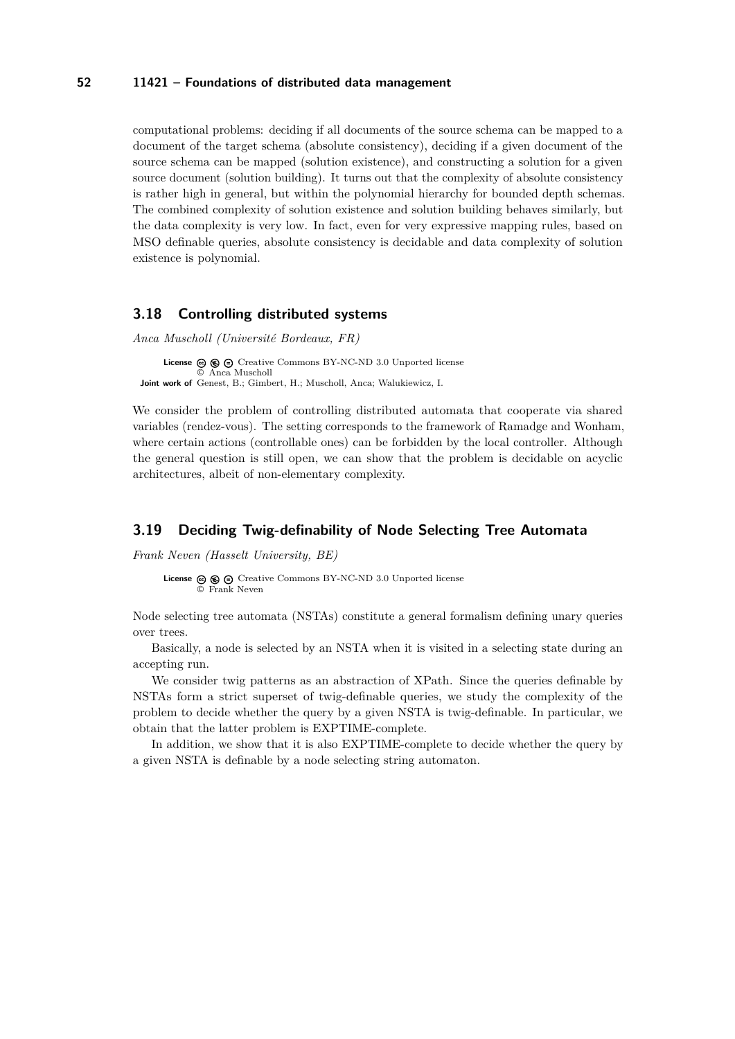computational problems: deciding if all documents of the source schema can be mapped to a document of the target schema (absolute consistency), deciding if a given document of the source schema can be mapped (solution existence), and constructing a solution for a given source document (solution building). It turns out that the complexity of absolute consistency is rather high in general, but within the polynomial hierarchy for bounded depth schemas. The combined complexity of solution existence and solution building behaves similarly, but the data complexity is very low. In fact, even for very expressive mapping rules, based on MSO definable queries, absolute consistency is decidable and data complexity of solution existence is polynomial.

#### <span id="page-15-0"></span>**3.18 Controlling distributed systems**

*Anca Muscholl (Université Bordeaux, FR)*

**License**  $\circledcirc$   $\circledcirc$   $\circlearrowright$  [Creative Commons BY-NC-ND 3.0 Unported](http://creativecommons.org/licenses/by-nc-nd/3.0/) license © [Anca Muscholl](#page-15-0) **Joint work of** Genest, B.; Gimbert, H.; Muscholl, Anca; Walukiewicz, I.

We consider the problem of controlling distributed automata that cooperate via shared variables (rendez-vous). The setting corresponds to the framework of Ramadge and Wonham, where certain actions (controllable ones) can be forbidden by the local controller. Although the general question is still open, we can show that the problem is decidable on acyclic architectures, albeit of non-elementary complexity.

### <span id="page-15-1"></span>**3.19 Deciding Twig-definability of Node Selecting Tree Automata**

*Frank Neven (Hasselt University, BE)*

```
License \circledcirc \circledcirc \circlearrowrightCreative Commons BY-NC-ND 3.0 Unported license
          © Frank Neven
```
Node selecting tree automata (NSTAs) constitute a general formalism defining unary queries over trees.

Basically, a node is selected by an NSTA when it is visited in a selecting state during an accepting run.

We consider twig patterns as an abstraction of XPath. Since the queries definable by NSTAs form a strict superset of twig-definable queries, we study the complexity of the problem to decide whether the query by a given NSTA is twig-definable. In particular, we obtain that the latter problem is EXPTIME-complete.

In addition, we show that it is also EXPTIME-complete to decide whether the query by a given NSTA is definable by a node selecting string automaton.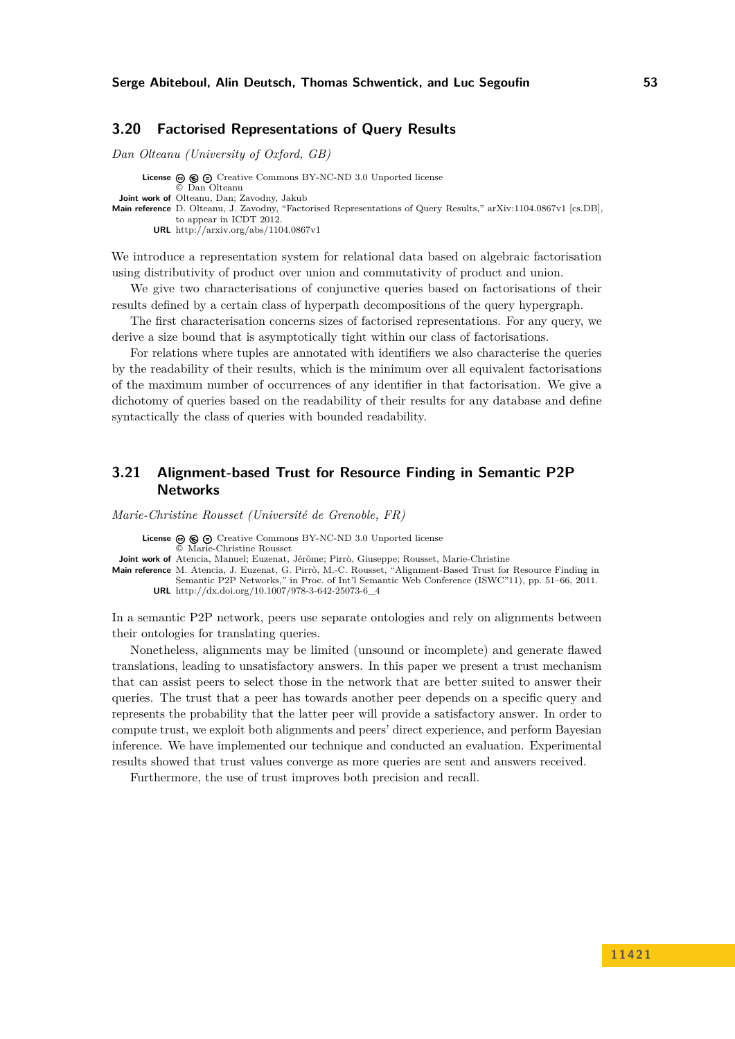### <span id="page-16-0"></span>**3.20 Factorised Representations of Query Results**

*Dan Olteanu (University of Oxford, GB)*

**License**  $\textcircled{e}$   $\textcircled{e}$   $\textcircled{e}$  [Creative Commons BY-NC-ND 3.0 Unported](http://creativecommons.org/licenses/by-nc-nd/3.0/) license © [Dan Olteanu](#page-16-0) **Joint work of** Olteanu, Dan; Zavodny, Jakub **Main reference** [D. Olteanu, J. Zavodny, "Factorised Representations of Query Results," arXiv:1104.0867v1 \[cs.DB\],](http://arxiv.org/abs/1104.0867v1) [to appear in ICDT 2012.](http://arxiv.org/abs/1104.0867v1) **URL** <http://arxiv.org/abs/1104.0867v1>

We introduce a representation system for relational data based on algebraic factorisation using distributivity of product over union and commutativity of product and union.

We give two characterisations of conjunctive queries based on factorisations of their results defined by a certain class of hyperpath decompositions of the query hypergraph.

The first characterisation concerns sizes of factorised representations. For any query, we derive a size bound that is asymptotically tight within our class of factorisations.

For relations where tuples are annotated with identifiers we also characterise the queries by the readability of their results, which is the minimum over all equivalent factorisations of the maximum number of occurrences of any identifier in that factorisation. We give a dichotomy of queries based on the readability of their results for any database and define syntactically the class of queries with bounded readability.

# <span id="page-16-1"></span>**3.21 Alignment-based Trust for Resource Finding in Semantic P2P Networks**

*Marie-Christine Rousset (Université de Grenoble, FR)*

**License**  $\circledcirc$   $\circledcirc$  [Creative Commons BY-NC-ND 3.0 Unported](http://creativecommons.org/licenses/by-nc-nd/3.0/) license © [Marie-Christine Rousset](#page-16-1) **Joint work of** Atencia, Manuel; Euzenat, Jérôme; Pirrò, Giuseppe; Rousset, Marie-Christine **Main reference** [M. Atencia, J. Euzenat, G. Pirrò, M.-C. Rousset, "Alignment-Based Trust for Resource Finding in](http://dx.doi.org/10.1007/978-3-642-25073-6_4) [Semantic P2P Networks," in Proc. of Int'l Semantic Web Conference \(ISWC"11\), pp. 51–66, 2011.](http://dx.doi.org/10.1007/978-3-642-25073-6_4) **URL** [http://dx.doi.org/10.1007/978-3-642-25073-6\\_4](http://dx.doi.org/10.1007/978-3-642-25073-6_4)

In a semantic P2P network, peers use separate ontologies and rely on alignments between their ontologies for translating queries.

Nonetheless, alignments may be limited (unsound or incomplete) and generate flawed translations, leading to unsatisfactory answers. In this paper we present a trust mechanism that can assist peers to select those in the network that are better suited to answer their queries. The trust that a peer has towards another peer depends on a specific query and represents the probability that the latter peer will provide a satisfactory answer. In order to compute trust, we exploit both alignments and peers' direct experience, and perform Bayesian inference. We have implemented our technique and conducted an evaluation. Experimental results showed that trust values converge as more queries are sent and answers received.

Furthermore, the use of trust improves both precision and recall.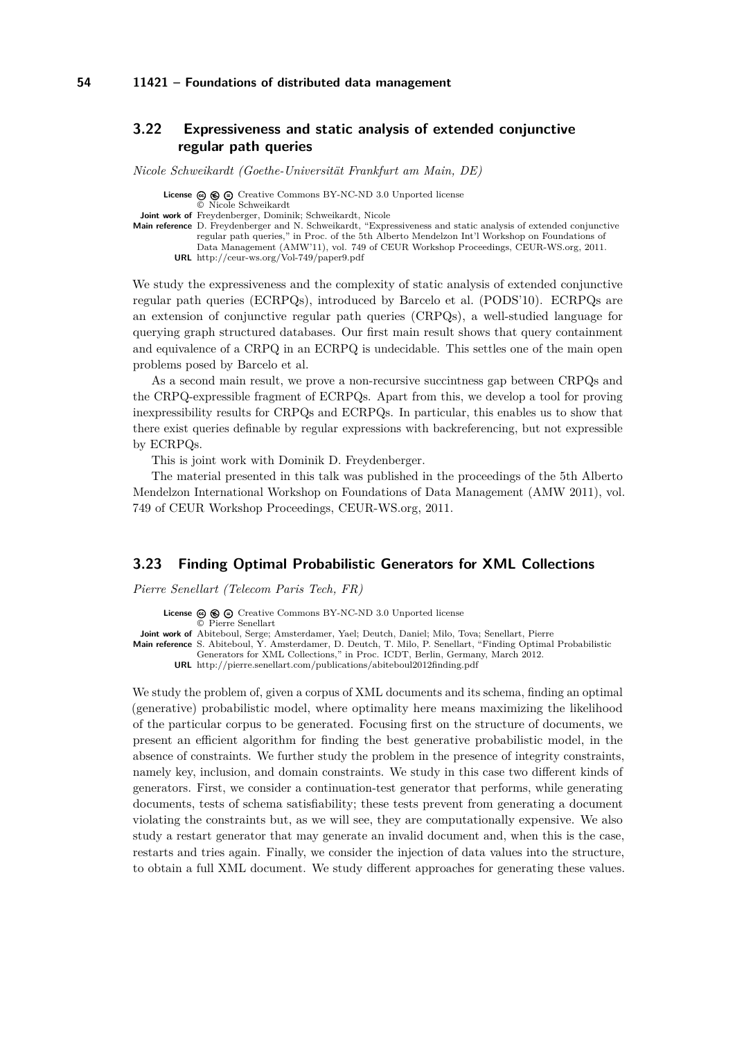### <span id="page-17-0"></span>**3.22 Expressiveness and static analysis of extended conjunctive regular path queries**

*Nicole Schweikardt (Goethe-Universität Frankfurt am Main, DE)*

License  $\circledcirc$   $\circledcirc$   $\circ$  [Creative Commons BY-NC-ND 3.0 Unported](http://creativecommons.org/licenses/by-nc-nd/3.0/) license © [Nicole Schweikardt](#page-17-0) **Joint work of** Freydenberger, Dominik; Schweikardt, Nicole **Main reference** [D. Freydenberger and N. Schweikardt, "Expressiveness and static analysis of extended conjunctive](http://ceur-ws.org/Vol-749/paper9.pdf) [regular path queries," in Proc. of the 5th Alberto Mendelzon Int'l Workshop on Foundations of](http://ceur-ws.org/Vol-749/paper9.pdf) [Data Management \(AMW'11\), vol. 749 of CEUR Workshop Proceedings, CEUR-WS.org, 2011.](http://ceur-ws.org/Vol-749/paper9.pdf) **URL** <http://ceur-ws.org/Vol-749/paper9.pdf>

We study the expressiveness and the complexity of static analysis of extended conjunctive regular path queries (ECRPQs), introduced by Barcelo et al. (PODS'10). ECRPQs are an extension of conjunctive regular path queries (CRPQs), a well-studied language for querying graph structured databases. Our first main result shows that query containment and equivalence of a CRPQ in an ECRPQ is undecidable. This settles one of the main open problems posed by Barcelo et al.

As a second main result, we prove a non-recursive succintness gap between CRPQs and the CRPQ-expressible fragment of ECRPQs. Apart from this, we develop a tool for proving inexpressibility results for CRPQs and ECRPQs. In particular, this enables us to show that there exist queries definable by regular expressions with backreferencing, but not expressible by ECRPQs.

This is joint work with Dominik D. Freydenberger.

The material presented in this talk was published in the proceedings of the 5th Alberto Mendelzon International Workshop on Foundations of Data Management (AMW 2011), vol. 749 of CEUR Workshop Proceedings, CEUR-WS.org, 2011.

#### <span id="page-17-1"></span>**3.23 Finding Optimal Probabilistic Generators for XML Collections**

*Pierre Senellart (Telecom Paris Tech, FR)*

License  $\circledcirc \circledcirc \circ$  [Creative Commons BY-NC-ND 3.0 Unported](http://creativecommons.org/licenses/by-nc-nd/3.0/) license

© [Pierre Senellart](#page-17-1)

**Joint work of** Abiteboul, Serge; Amsterdamer, Yael; Deutch, Daniel; Milo, Tova; Senellart, Pierre

**Main reference** [S. Abiteboul, Y. Amsterdamer, D. Deutch, T. Milo, P. Senellart, "Finding Optimal Probabilistic](http://pierre.senellart.com/publications/abiteboul2012finding.pdf)

[Generators for XML Collections," in Proc. ICDT, Berlin, Germany, March 2012.](http://pierre.senellart.com/publications/abiteboul2012finding.pdf)

**URL** <http://pierre.senellart.com/publications/abiteboul2012finding.pdf>

We study the problem of, given a corpus of XML documents and its schema, finding an optimal (generative) probabilistic model, where optimality here means maximizing the likelihood of the particular corpus to be generated. Focusing first on the structure of documents, we present an efficient algorithm for finding the best generative probabilistic model, in the absence of constraints. We further study the problem in the presence of integrity constraints, namely key, inclusion, and domain constraints. We study in this case two different kinds of generators. First, we consider a continuation-test generator that performs, while generating documents, tests of schema satisfiability; these tests prevent from generating a document violating the constraints but, as we will see, they are computationally expensive. We also study a restart generator that may generate an invalid document and, when this is the case, restarts and tries again. Finally, we consider the injection of data values into the structure, to obtain a full XML document. We study different approaches for generating these values.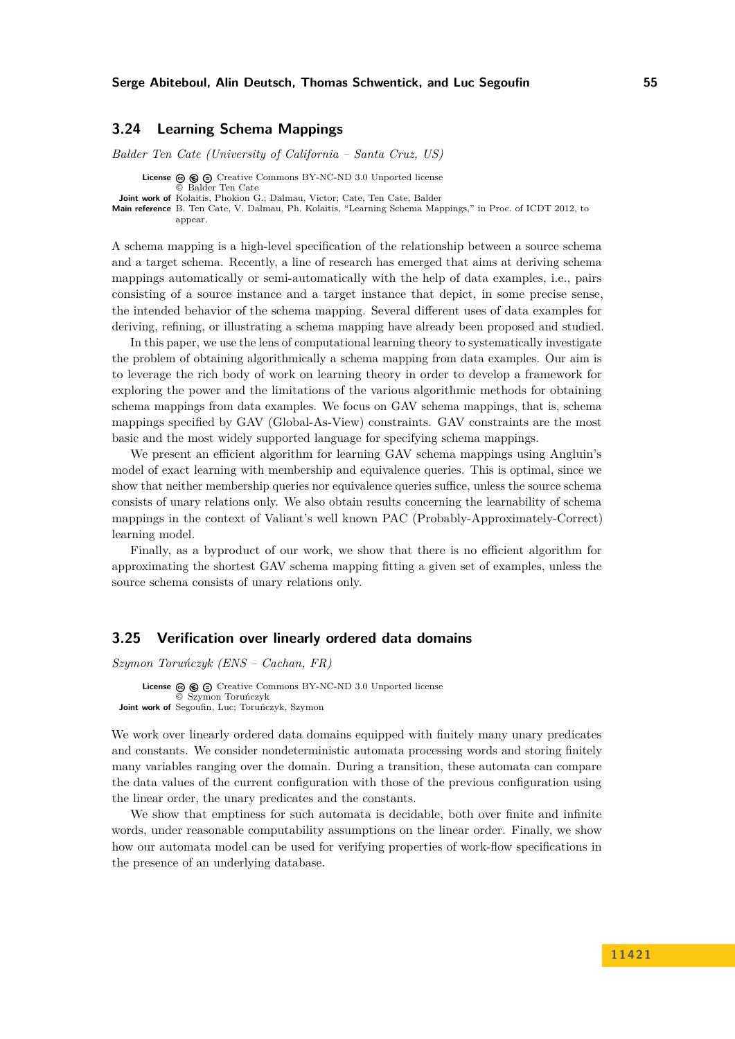#### **Serge Abiteboul, Alin Deutsch, Thomas Schwentick, and Luc Segoufin 55**

### <span id="page-18-0"></span>**3.24 Learning Schema Mappings**

*Balder Ten Cate (University of California – Santa Cruz, US)*

**License**  $\textcircled{e}$   $\textcircled{e}$   $\textcircled{e}$  [Creative Commons BY-NC-ND 3.0 Unported](http://creativecommons.org/licenses/by-nc-nd/3.0/) license

© [Balder Ten Cate](#page-18-0)

**Joint work of** Kolaitis, Phokion G.; Dalmau, Victor; Cate, Ten Cate, Balder **Main reference** [B. Ten Cate, V. Dalmau, Ph. Kolaitis, "Learning Schema Mappings," in Proc. of ICDT 2012, to](B.\ Ten Cate, V.\ Dalmau, Ph.\ Kolaitis, ``Learning Schema Mappings,)

[appear.](B.\ Ten Cate, V.\ Dalmau, Ph.\ Kolaitis, ``Learning Schema Mappings,)

A schema mapping is a high-level specification of the relationship between a source schema and a target schema. Recently, a line of research has emerged that aims at deriving schema mappings automatically or semi-automatically with the help of data examples, i.e., pairs consisting of a source instance and a target instance that depict, in some precise sense, the intended behavior of the schema mapping. Several different uses of data examples for deriving, refining, or illustrating a schema mapping have already been proposed and studied.

In this paper, we use the lens of computational learning theory to systematically investigate the problem of obtaining algorithmically a schema mapping from data examples. Our aim is to leverage the rich body of work on learning theory in order to develop a framework for exploring the power and the limitations of the various algorithmic methods for obtaining schema mappings from data examples. We focus on GAV schema mappings, that is, schema mappings specified by GAV (Global-As-View) constraints. GAV constraints are the most basic and the most widely supported language for specifying schema mappings.

We present an efficient algorithm for learning GAV schema mappings using Angluin's model of exact learning with membership and equivalence queries. This is optimal, since we show that neither membership queries nor equivalence queries suffice, unless the source schema consists of unary relations only. We also obtain results concerning the learnability of schema mappings in the context of Valiant's well known PAC (Probably-Approximately-Correct) learning model.

Finally, as a byproduct of our work, we show that there is no efficient algorithm for approximating the shortest GAV schema mapping fitting a given set of examples, unless the source schema consists of unary relations only.

#### <span id="page-18-1"></span>**3.25 Verification over linearly ordered data domains**

*Szymon Toruńczyk (ENS – Cachan, FR)*

**License**  $\odot$   $\odot$   $\odot$  [Creative Commons BY-NC-ND 3.0 Unported](http://creativecommons.org/licenses/by-nc-nd/3.0/) license © [Szymon Toruńczyk](#page-18-1) **Joint work of** Segoufin, Luc; Toruńczyk, Szymon

We work over linearly ordered data domains equipped with finitely many unary predicates and constants. We consider nondeterministic automata processing words and storing finitely many variables ranging over the domain. During a transition, these automata can compare the data values of the current configuration with those of the previous configuration using the linear order, the unary predicates and the constants.

We show that emptiness for such automata is decidable, both over finite and infinite words, under reasonable computability assumptions on the linear order. Finally, we show how our automata model can be used for verifying properties of work-flow specifications in the presence of an underlying database.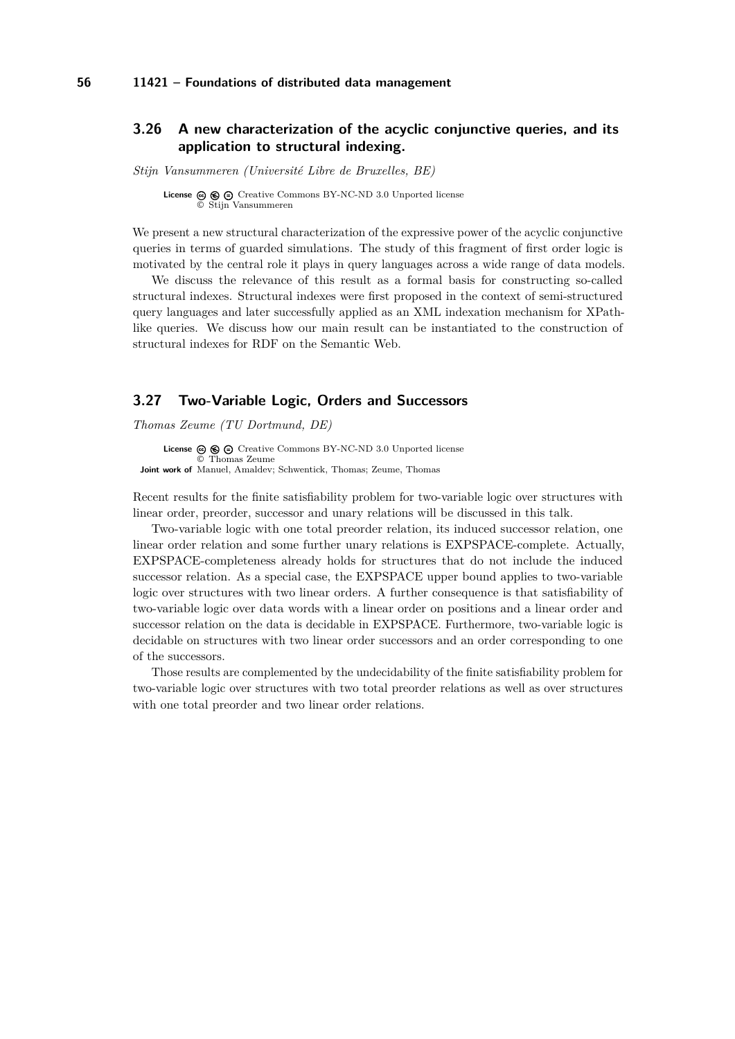### <span id="page-19-0"></span>**3.26 A new characterization of the acyclic conjunctive queries, and its application to structural indexing.**

*Stijn Vansummeren (Université Libre de Bruxelles, BE)*

**License**  $\circledcirc$   $\circledcirc$   $\circlearrowright$  [Creative Commons BY-NC-ND 3.0 Unported](http://creativecommons.org/licenses/by-nc-nd/3.0/) license © [Stijn Vansummeren](#page-19-0)

We present a new structural characterization of the expressive power of the acyclic conjunctive queries in terms of guarded simulations. The study of this fragment of first order logic is motivated by the central role it plays in query languages across a wide range of data models.

We discuss the relevance of this result as a formal basis for constructing so-called structural indexes. Structural indexes were first proposed in the context of semi-structured query languages and later successfully applied as an XML indexation mechanism for XPathlike queries. We discuss how our main result can be instantiated to the construction of structural indexes for RDF on the Semantic Web.

### <span id="page-19-1"></span>**3.27 Two-Variable Logic, Orders and Successors**

*Thomas Zeume (TU Dortmund, DE)*

**License** [Creative Commons BY-NC-ND 3.0 Unported](http://creativecommons.org/licenses/by-nc-nd/3.0/) license © [Thomas Zeume](#page-19-1) **Joint work of** Manuel, Amaldev; Schwentick, Thomas; Zeume, Thomas

Recent results for the finite satisfiability problem for two-variable logic over structures with linear order, preorder, successor and unary relations will be discussed in this talk.

Two-variable logic with one total preorder relation, its induced successor relation, one linear order relation and some further unary relations is EXPSPACE-complete. Actually, EXPSPACE-completeness already holds for structures that do not include the induced successor relation. As a special case, the EXPSPACE upper bound applies to two-variable logic over structures with two linear orders. A further consequence is that satisfiability of two-variable logic over data words with a linear order on positions and a linear order and successor relation on the data is decidable in EXPSPACE. Furthermore, two-variable logic is decidable on structures with two linear order successors and an order corresponding to one of the successors.

Those results are complemented by the undecidability of the finite satisfiability problem for two-variable logic over structures with two total preorder relations as well as over structures with one total preorder and two linear order relations.